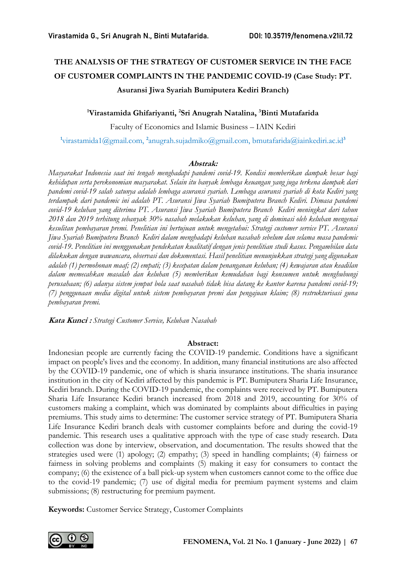# THE ANALYSIS OF THE STRATEGY OF CUSTOMER SERVICE IN THE FACE OF CUSTOMER COMPLAINTS IN THE PANDEMIC COVID-19 (Case Study: PT. Asuransi Jiwa Syariah Bumiputera Kediri Branch)

#### <sup>1</sup>Virastamida Ghifariyanti, <sup>2</sup>Sri Anugrah Natalina, <sup>3</sup>Binti Mutafarida

Faculty of Economics and Islamic Business – IAIN Kediri

<sup>1</sup>virastamida1@gmail.com, <sup>2</sup>anugrah.sujadmiko@gmail.com, bmutafarida@iainkediri.ac.id<sup>3</sup>

#### Abstrak:

Masyarakat Indonesia saat ini tengah menghadapi pandemi covid-19. Kondisi memberikan dampak besar bagi kehidupan serta perekonomian masyarakat. Selain itu banyak lembaga keuangan yang juga terkena dampak dari pandemi covid-19 salah satunya adalah lembaga asuransi syariah. Lembaga asuransi syariah di kota Kediri yang terdampak dari pandemic ini adalah PT. Asuransi Jiwa Syariah Bumiputera Branch Kediri. Dimasa pandemi covid-19 keluhan yang diterima PT. Asuransi Jiwa Syariah Bumiputera Branch Kediri meningkat dari tahun 2018 dan 2019 terhitung sebanyak 30% nasabah melakukan keluhan, yang di dominasi oleh keluhan mengenai kesulitan pembayaran premi. Penelitian ini bertujuan untuk mengetahui: Strategi customer service PT. Asuransi Jiwa Syariah Bumiputera Branch Kediri dalam menghadapi keluhan nasabah sebelum dan selama masa pandemic covid-19. Penelitian ini menggunakan pendekatan kualitatif dengan jenis penelitian studi kasus. Pengambilan data dilakukan dengan wawancara, observasi dan dokumentasi. Hasil penelitian menunjukkan strategi yang digunakan adalah (1) permohonan maaf; (2) empati; (3) kecepatan dalam penanganan keluhan; (4) kewajaran atau keadilan dalam memecahkan masalah dan keluhan (5) memberikan kemudahan bagi konsumen untuk menghubungi perusahaan; (6) adanya sistem jemput bola saat nasabah tidak bisa datang ke kantor karena pandemi covid-19; (7) penggunaan media digital untuk sistem pembayaran premi dan pengajuan klaim; (8) restrukturisasi guna pembayaran premi.

Kata Kunci : Strategi Customer Service, Keluhan Nasabah

#### Abstract:

Indonesian people are currently facing the COVID-19 pandemic. Conditions have a significant impact on people's lives and the economy. In addition, many financial institutions are also affected by the COVID-19 pandemic, one of which is sharia insurance institutions. The sharia insurance institution in the city of Kediri affected by this pandemic is PT. Bumiputera Sharia Life Insurance, Kediri branch. During the COVID-19 pandemic, the complaints were received by PT. Bumiputera Sharia Life Insurance Kediri branch increased from 2018 and 2019, accounting for 30% of customers making a complaint, which was dominated by complaints about difficulties in paying premiums. This study aims to determine: The customer service strategy of PT. Bumiputera Sharia Life Insurance Kediri branch deals with customer complaints before and during the covid-19 pandemic. This research uses a qualitative approach with the type of case study research. Data collection was done by interview, observation, and documentation. The results showed that the strategies used were (1) apology; (2) empathy; (3) speed in handling complaints; (4) fairness or fairness in solving problems and complaints (5) making it easy for consumers to contact the company; (6) the existence of a ball pick-up system when customers cannot come to the office due to the covid-19 pandemic; (7) use of digital media for premium payment systems and claim submissions; (8) restructuring for premium payment.

Keywords: Customer Service Strategy, Customer Complaints

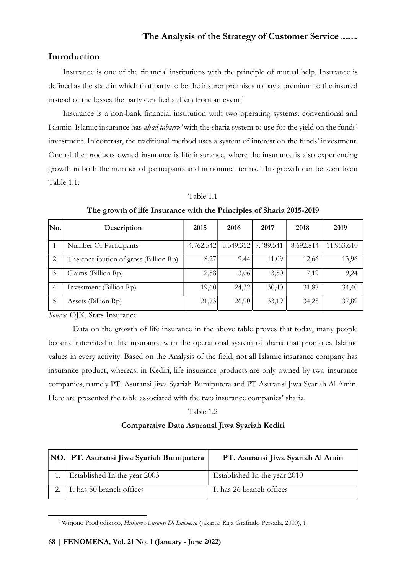#### Introduction

Insurance is one of the financial institutions with the principle of mutual help. Insurance is defined as the state in which that party to be the insurer promises to pay a premium to the insured instead of the losses the party certified suffers from an event.<sup>1</sup>

Insurance is a non-bank financial institution with two operating systems: conventional and Islamic. Islamic insurance has akad tabarru' with the sharia system to use for the yield on the funds' investment. In contrast, the traditional method uses a system of interest on the funds' investment. One of the products owned insurance is life insurance, where the insurance is also experiencing growth in both the number of participants and in nominal terms. This growth can be seen from Table 1.1:

#### Table 1.1

| No. | Description                            | 2015      | 2016      | 2017      | 2018      | 2019       |
|-----|----------------------------------------|-----------|-----------|-----------|-----------|------------|
|     | Number Of Participants                 | 4.762.542 | 5.349.352 | 7.489.541 | 8.692.814 | 11.953.610 |
| 2.  | The contribution of gross (Billion Rp) | 8,27      | 9,44      | 11,09     | 12,66     | 13,96      |
| 3.  | Claims (Billion Rp)                    | 2,58      | 3,06      | 3,50      | 7,19      | 9,24       |
| 4.  | Investment (Billion Rp)                | 19,60     | 24,32     | 30,40     | 31,87     | 34,40      |
| 5.  | Assets (Billion Rp)                    | 21,73     | 26,90     | 33,19     | 34,28     | 37,89      |

The growth of life Insurance with the Principles of Sharia 2015-2019

Source: OJK, Stats Insurance

Data on the growth of life insurance in the above table proves that today, many people became interested in life insurance with the operational system of sharia that promotes Islamic values in every activity. Based on the Analysis of the field, not all Islamic insurance company has insurance product, whereas, in Kediri, life insurance products are only owned by two insurance companies, namely PT. Asuransi Jiwa Syariah Bumiputera and PT Asuransi Jiwa Syariah Al Amin. Here are presented the table associated with the two insurance companies' sharia.

#### Table 1.2

#### Comparative Data Asuransi Jiwa Syariah Kediri

| NO. PT. Asuransi Jiwa Syariah Bumiputera | PT. Asuransi Jiwa Syariah Al Amin |
|------------------------------------------|-----------------------------------|
| Established In the year 2003             | Established In the year 2010      |
| 2. It has 50 branch offices              | It has 26 branch offices          |

<sup>&</sup>lt;sup>1</sup> Wirjono Prodjodikoro, Hukum Asuransi Di Indonesia (Jakarta: Raja Grafindo Persada, 2000), 1.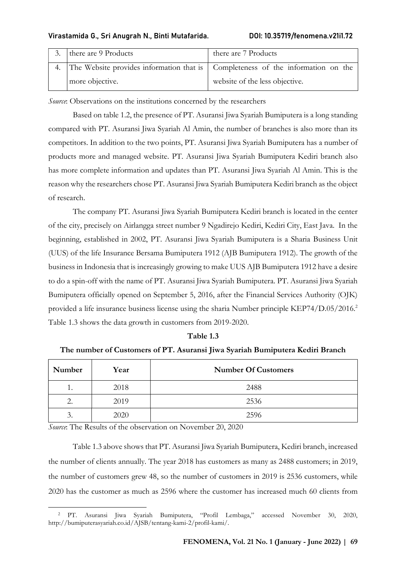| there are 9 Products | there are 7 Products                                                                 |
|----------------------|--------------------------------------------------------------------------------------|
|                      | 4. The Website provides information that is   Completeness of the information on the |
| more objective.      | website of the less objective.                                                       |

Source: Observations on the institutions concerned by the researchers

Based on table 1.2, the presence of PT. Asuransi Jiwa Syariah Bumiputera is a long standing compared with PT. Asuransi Jiwa Syariah Al Amin, the number of branches is also more than its competitors. In addition to the two points, PT. Asuransi Jiwa Syariah Bumiputera has a number of products more and managed website. PT. Asuransi Jiwa Syariah Bumiputera Kediri branch also has more complete information and updates than PT. Asuransi Jiwa Syariah Al Amin. This is the reason why the researchers chose PT. Asuransi Jiwa Syariah Bumiputera Kediri branch as the object of research.

The company PT. Asuransi Jiwa Syariah Bumiputera Kediri branch is located in the center of the city, precisely on Airlangga street number 9 Ngadirejo Kediri, Kediri City, East Java. In the beginning, established in 2002, PT. Asuransi Jiwa Syariah Bumiputera is a Sharia Business Unit (UUS) of the life Insurance Bersama Bumiputera 1912 (AJB Bumiputera 1912). The growth of the business in Indonesia that is increasingly growing to make UUS AJB Bumiputera 1912 have a desire to do a spin-off with the name of PT. Asuransi Jiwa Syariah Bumiputera. PT. Asuransi Jiwa Syariah Bumiputera officially opened on September 5, 2016, after the Financial Services Authority (OJK) provided a life insurance business license using the sharia Number principle KEP74/D.05/2016.<sup>2</sup> Table 1.3 shows the data growth in customers from 2019-2020.

| Table 1.3 |  |
|-----------|--|
|-----------|--|

### The number of Customers of PT. Asuransi Jiwa Syariah Bumiputera Kediri Branch

| Number | Year | <b>Number Of Customers</b> |
|--------|------|----------------------------|
| .,     | 2018 | 2488                       |
| 2.     | 2019 | 2536                       |
| .      | 2020 | 2596                       |

Source: The Results of the observation on November 20, 2020

Table 1.3 above shows that PT. Asuransi Jiwa Syariah Bumiputera, Kediri branch, increased the number of clients annually. The year 2018 has customers as many as 2488 customers; in 2019, the number of customers grew 48, so the number of customers in 2019 is 2536 customers, while 2020 has the customer as much as 2596 where the customer has increased much 60 clients from

<sup>2</sup> PT. Asuransi Jiwa Syariah Bumiputera, "Profil Lembaga," accessed November 30, 2020, http://bumiputerasyariah.co.id/AJSB/tentang-kami-2/profil-kami/.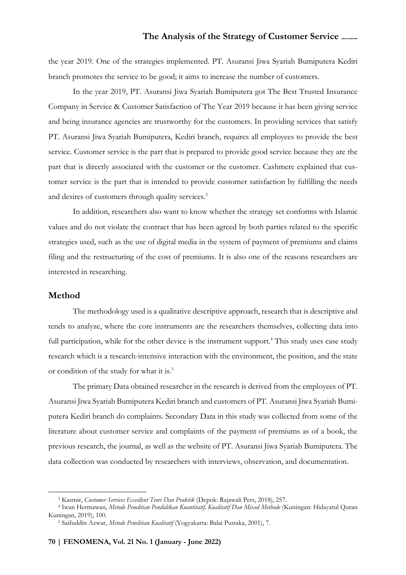the year 2019. One of the strategies implemented. PT. Asuransi Jiwa Syariah Bumiputera Kediri branch promotes the service to be good; it aims to increase the number of customers.

In the year 2019, PT. Asuransi Jiwa Syariah Bumiputera got The Best Trusted Insurance Company in Service & Customer Satisfaction of The Year 2019 because it has been giving service and being insurance agencies are trustworthy for the customers. In providing services that satisfy PT. Asuransi Jiwa Syariah Bumiputera, Kediri branch, requires all employees to provide the best service. Customer service is the part that is prepared to provide good service because they are the part that is directly associated with the customer or the customer. Cashmere explained that customer service is the part that is intended to provide customer satisfaction by fulfilling the needs and desires of customers through quality services.<sup>3</sup>

In addition, researchers also want to know whether the strategy set conforms with Islamic values and do not violate the contract that has been agreed by both parties related to the specific strategies used, such as the use of digital media in the system of payment of premiums and claims filing and the restructuring of the cost of premiums. It is also one of the reasons researchers are interested in researching.

#### Method

The methodology used is a qualitative descriptive approach, research that is descriptive and tends to analyze, where the core instruments are the researchers themselves, collecting data into full participation, while for the other device is the instrument support.<sup>4</sup> This study uses case study research which is a research-intensive interaction with the environment, the position, and the state or condition of the study for what it is.<sup>5</sup>

The primary Data obtained researcher in the research is derived from the employees of PT. Asuransi Jiwa Syariah Bumiputera Kediri branch and customers of PT. Asuransi Jiwa Syariah Bumiputera Kediri branch do complaints. Secondary Data in this study was collected from some of the literature about customer service and complaints of the payment of premiums as of a book, the previous research, the journal, as well as the website of PT. Asuransi Jiwa Syariah Bumiputera. The data collection was conducted by researchers with interviews, observation, and documentation.

<sup>&</sup>lt;sup>3</sup> Kasmir, Customer Services Excellent Teori Dan Praktik (Depok: Rajawali Pers, 2018), 257.

<sup>&</sup>lt;sup>4</sup> Iwan Hermawan, *Metode Penelitian Pendidikan Kuantitatif, Kualitatif Dan Mixed Methode (Kuningan: Hidayatul Quran* Kuningan, 2019), 100.

<sup>&</sup>lt;sup>5</sup> Saifuddin Azwar, Metode Penelitian Kualitatif (Yogyakarta: Balai Pustaka, 2001), 7.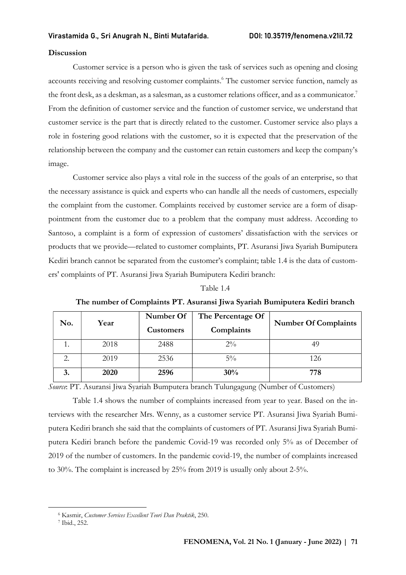#### Discussion

Customer service is a person who is given the task of services such as opening and closing accounts receiving and resolving customer complaints.<sup>6</sup> The customer service function, namely as the front desk, as a deskman, as a salesman, as a customer relations officer, and as a communicator.<sup>7</sup> From the definition of customer service and the function of customer service, we understand that customer service is the part that is directly related to the customer. Customer service also plays a role in fostering good relations with the customer, so it is expected that the preservation of the relationship between the company and the customer can retain customers and keep the company's image.

Customer service also plays a vital role in the success of the goals of an enterprise, so that the necessary assistance is quick and experts who can handle all the needs of customers, especially the complaint from the customer. Complaints received by customer service are a form of disappointment from the customer due to a problem that the company must address. According to Santoso, a complaint is a form of expression of customers' dissatisfaction with the services or products that we provide—related to customer complaints, PT. Asuransi Jiwa Syariah Bumiputera Kediri branch cannot be separated from the customer's complaint; table 1.4 is the data of customers' complaints of PT. Asuransi Jiwa Syariah Bumiputera Kediri branch:

#### Table 1.4

#### The number of Complaints PT. Asuransi Jiwa Syariah Bumiputera Kediri branch

|     | Year | Number Of        | The Percentage Of |                             |
|-----|------|------------------|-------------------|-----------------------------|
| No. |      | <b>Customers</b> | Complaints        | <b>Number Of Complaints</b> |
| 1.  | 2018 | 2488             | $2\%$             | 49                          |
| ◠   | 2019 | 2536             | $5\%$             | 126                         |
| 3.  | 2020 | 2596             | 30%               | 778                         |

Source: PT. Asuransi Jiwa Syariah Bumputera branch Tulungagung (Number of Customers)

Table 1.4 shows the number of complaints increased from year to year. Based on the interviews with the researcher Mrs. Wenny, as a customer service PT. Asuransi Jiwa Syariah Bumiputera Kediri branch she said that the complaints of customers of PT. Asuransi Jiwa Syariah Bumiputera Kediri branch before the pandemic Covid-19 was recorded only 5% as of December of 2019 of the number of customers. In the pandemic covid-19, the number of complaints increased to 30%. The complaint is increased by 25% from 2019 is usually only about 2-5%.

<sup>6</sup> Kasmir, Customer Services Excellent Teori Dan Praktik, 250.

<sup>7</sup> Ibid., 252.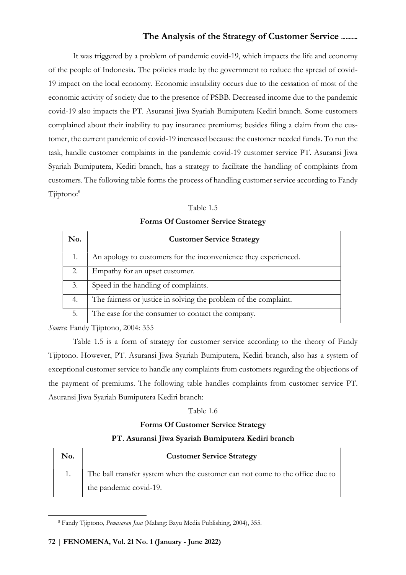It was triggered by a problem of pandemic covid-19, which impacts the life and economy of the people of Indonesia. The policies made by the government to reduce the spread of covid-19 impact on the local economy. Economic instability occurs due to the cessation of most of the economic activity of society due to the presence of PSBB. Decreased income due to the pandemic covid-19 also impacts the PT. Asuransi Jiwa Syariah Bumiputera Kediri branch. Some customers complained about their inability to pay insurance premiums; besides filing a claim from the customer, the current pandemic of covid-19 increased because the customer needed funds. To run the task, handle customer complaints in the pandemic covid-19 customer service PT. Asuransi Jiwa Syariah Bumiputera, Kediri branch, has a strategy to facilitate the handling of complaints from customers. The following table forms the process of handling customer service according to Fandy Tjiptono:<sup>8</sup>

| No. | <b>Customer Service Strategy</b>                                 |
|-----|------------------------------------------------------------------|
| 1.  | An apology to customers for the inconvenience they experienced.  |
| 2.  | Empathy for an upset customer.                                   |
| 3.  | Speed in the handling of complaints.                             |
| -4. | The fairness or justice in solving the problem of the complaint. |
| 5.  | The ease for the consumer to contact the company.                |

Forms Of Customer Service Strategy

Source: Fandy Tjiptono, 2004: 355

Table 1.5 is a form of strategy for customer service according to the theory of Fandy Tjiptono. However, PT. Asuransi Jiwa Syariah Bumiputera, Kediri branch, also has a system of exceptional customer service to handle any complaints from customers regarding the objections of the payment of premiums. The following table handles complaints from customer service PT. Asuransi Jiwa Syariah Bumiputera Kediri branch:

#### Table 1.6

#### Forms Of Customer Service Strategy

#### PT. Asuransi Jiwa Syariah Bumiputera Kediri branch

| No. | <b>Customer Service Strategy</b>                                             |
|-----|------------------------------------------------------------------------------|
|     | The ball transfer system when the customer can not come to the office due to |
|     | the pandemic covid-19.                                                       |

<sup>&</sup>lt;sup>8</sup> Fandy Tjiptono, Pemasaran Jasa (Malang: Bayu Media Publishing, 2004), 355.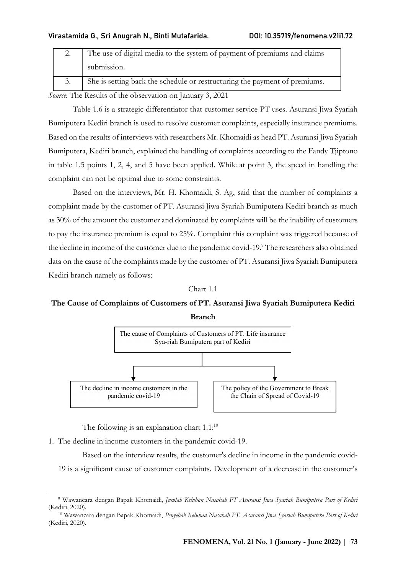| The use of digital media to the system of payment of premiums and claims   |
|----------------------------------------------------------------------------|
| submission.                                                                |
| She is setting back the schedule or restructuring the payment of premiums. |

Source: The Results of the observation on January 3, 2021

Table 1.6 is a strategic differentiator that customer service PT uses. Asuransi Jiwa Syariah Bumiputera Kediri branch is used to resolve customer complaints, especially insurance premiums. Based on the results of interviews with researchers Mr. Khomaidi as head PT. Asuransi Jiwa Syariah Bumiputera, Kediri branch, explained the handling of complaints according to the Fandy Tjiptono in table 1.5 points 1, 2, 4, and 5 have been applied. While at point 3, the speed in handling the complaint can not be optimal due to some constraints.

Based on the interviews, Mr. H. Khomaidi, S. Ag, said that the number of complaints a complaint made by the customer of PT. Asuransi Jiwa Syariah Bumiputera Kediri branch as much as 30% of the amount the customer and dominated by complaints will be the inability of customers to pay the insurance premium is equal to 25%. Complaint this complaint was triggered because of the decline in income of the customer due to the pandemic covid-19.<sup>9</sup> The researchers also obtained data on the cause of the complaints made by the customer of PT. Asuransi Jiwa Syariah Bumiputera Kediri branch namely as follows:

Chart 1.1

# The Cause of Complaints of Customers of PT. Asuransi Jiwa Syariah Bumiputera Kediri



The following is an explanation chart  $1.1$ :<sup>10</sup>

1. The decline in income customers in the pandemic covid-19.

Based on the interview results, the customer's decline in income in the pandemic covid-

19 is a significant cause of customer complaints. Development of a decrease in the customer's

<sup>&</sup>lt;sup>9</sup> Wawancara dengan Bapak Khomaidi, Jumlah Keluhan Nasabah PT Asuransi Jiwa Syariah Bumiputera Part of Kediri (Kediri, 2020).

<sup>&</sup>lt;sup>10</sup> Wawancara dengan Bapak Khomaidi, Penyebab Keluhan Nasabah PT. Asuransi Jiwa Syariah Bumiputera Part of Kediri (Kediri, 2020).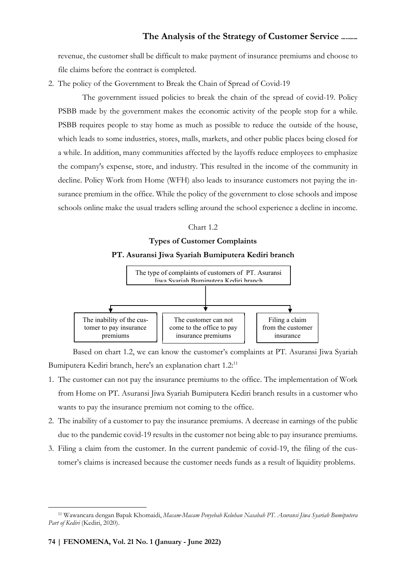revenue, the customer shall be difficult to make payment of insurance premiums and choose to file claims before the contract is completed.

2. The policy of the Government to Break the Chain of Spread of Covid-19

The government issued policies to break the chain of the spread of covid-19. Policy PSBB made by the government makes the economic activity of the people stop for a while. PSBB requires people to stay home as much as possible to reduce the outside of the house, which leads to some industries, stores, malls, markets, and other public places being closed for a while. In addition, many communities affected by the layoffs reduce employees to emphasize the company's expense, store, and industry. This resulted in the income of the community in decline. Policy Work from Home (WFH) also leads to insurance customers not paying the insurance premium in the office. While the policy of the government to close schools and impose schools online make the usual traders selling around the school experience a decline in income.

#### Chart 1.2

## Types of Customer Complaints PT. Asuransi Jiwa Syariah Bumiputera Kediri branch



Based on chart 1.2, we can know the customer's complaints at PT. Asuransi Jiwa Syariah Bumiputera Kediri branch, here's an explanation chart 1.2:<sup>11</sup>

- 1. The customer can not pay the insurance premiums to the office. The implementation of Work from Home on PT. Asuransi Jiwa Syariah Bumiputera Kediri branch results in a customer who wants to pay the insurance premium not coming to the office.
- 2. The inability of a customer to pay the insurance premiums. A decrease in earnings of the public due to the pandemic covid-19 results in the customer not being able to pay insurance premiums.
- 3. Filing a claim from the customer. In the current pandemic of covid-19, the filing of the customer's claims is increased because the customer needs funds as a result of liquidity problems.

<sup>&</sup>lt;sup>11</sup> Wawancara dengan Bapak Khomaidi, Macam-Macam Penyebab Keluhan Nasabah PT. Asuransi Jiwa Syariah Bumiputera Part of Kediri (Kediri, 2020).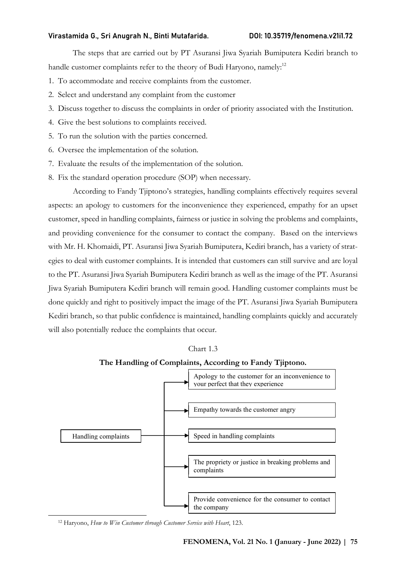The steps that are carried out by PT Asuransi Jiwa Syariah Bumiputera Kediri branch to handle customer complaints refer to the theory of Budi Haryono, namely:<sup>12</sup>

- 1. To accommodate and receive complaints from the customer.
- 2. Select and understand any complaint from the customer
- 3. Discuss together to discuss the complaints in order of priority associated with the Institution.
- 4. Give the best solutions to complaints received.
- 5. To run the solution with the parties concerned.
- 6. Oversee the implementation of the solution.
- 7. Evaluate the results of the implementation of the solution.
- 8. Fix the standard operation procedure (SOP) when necessary.

According to Fandy Tjiptono's strategies, handling complaints effectively requires several aspects: an apology to customers for the inconvenience they experienced, empathy for an upset customer, speed in handling complaints, fairness or justice in solving the problems and complaints, and providing convenience for the consumer to contact the company. Based on the interviews with Mr. H. Khomaidi, PT. Asuransi Jiwa Syariah Bumiputera, Kediri branch, has a variety of strategies to deal with customer complaints. It is intended that customers can still survive and are loyal to the PT. Asuransi Jiwa Syariah Bumiputera Kediri branch as well as the image of the PT. Asuransi Jiwa Syariah Bumiputera Kediri branch will remain good. Handling customer complaints must be done quickly and right to positively impact the image of the PT. Asuransi Jiwa Syariah Bumiputera Kediri branch, so that public confidence is maintained, handling complaints quickly and accurately will also potentially reduce the complaints that occur.

Chart 1.3

#### The Handling of Complaints, According to Fandy Tjiptono.



<sup>&</sup>lt;sup>12</sup> Haryono, How to Win Customer through Customer Service with Heart, 123.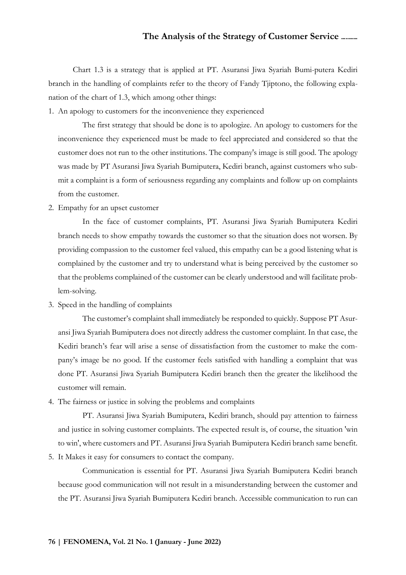Chart 1.3 is a strategy that is applied at PT. Asuransi Jiwa Syariah Bumi-putera Kediri branch in the handling of complaints refer to the theory of Fandy Tjiptono, the following explanation of the chart of 1.3, which among other things:

1. An apology to customers for the inconvenience they experienced

The first strategy that should be done is to apologize. An apology to customers for the inconvenience they experienced must be made to feel appreciated and considered so that the customer does not run to the other institutions. The company's image is still good. The apology was made by PT Asuransi Jiwa Syariah Bumiputera, Kediri branch, against customers who submit a complaint is a form of seriousness regarding any complaints and follow up on complaints from the customer.

2. Empathy for an upset customer

In the face of customer complaints, PT. Asuransi Jiwa Syariah Bumiputera Kediri branch needs to show empathy towards the customer so that the situation does not worsen. By providing compassion to the customer feel valued, this empathy can be a good listening what is complained by the customer and try to understand what is being perceived by the customer so that the problems complained of the customer can be clearly understood and will facilitate problem-solving.

3. Speed in the handling of complaints

The customer's complaint shall immediately be responded to quickly. Suppose PT Asuransi Jiwa Syariah Bumiputera does not directly address the customer complaint. In that case, the Kediri branch's fear will arise a sense of dissatisfaction from the customer to make the company's image be no good. If the customer feels satisfied with handling a complaint that was done PT. Asuransi Jiwa Syariah Bumiputera Kediri branch then the greater the likelihood the customer will remain.

4. The fairness or justice in solving the problems and complaints

PT. Asuransi Jiwa Syariah Bumiputera, Kediri branch, should pay attention to fairness and justice in solving customer complaints. The expected result is, of course, the situation 'win to win', where customers and PT. Asuransi Jiwa Syariah Bumiputera Kediri branch same benefit.

5. It Makes it easy for consumers to contact the company.

Communication is essential for PT. Asuransi Jiwa Syariah Bumiputera Kediri branch because good communication will not result in a misunderstanding between the customer and the PT. Asuransi Jiwa Syariah Bumiputera Kediri branch. Accessible communication to run can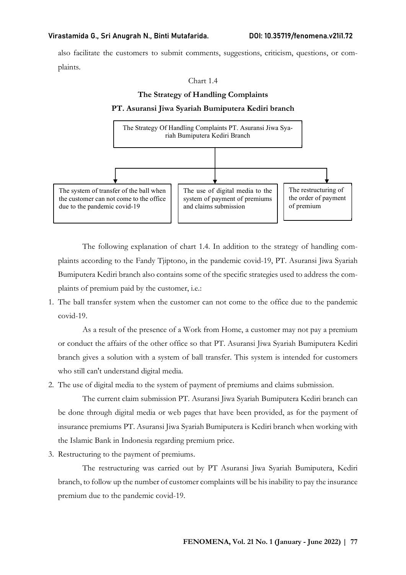also facilitate the customers to submit comments, suggestions, criticism, questions, or complaints.

#### Chart 14

#### The Strategy of Handling Complaints

#### PT. Asuransi Jiwa Syariah Bumiputera Kediri branch



The following explanation of chart 1.4. In addition to the strategy of handling complaints according to the Fandy Tjiptono, in the pandemic covid-19, PT. Asuransi Jiwa Syariah Bumiputera Kediri branch also contains some of the specific strategies used to address the complaints of premium paid by the customer, i.e.:

1. The ball transfer system when the customer can not come to the office due to the pandemic covid-19.

As a result of the presence of a Work from Home, a customer may not pay a premium or conduct the affairs of the other office so that PT. Asuransi Jiwa Syariah Bumiputera Kediri branch gives a solution with a system of ball transfer. This system is intended for customers who still can't understand digital media.

2. The use of digital media to the system of payment of premiums and claims submission.

The current claim submission PT. Asuransi Jiwa Syariah Bumiputera Kediri branch can be done through digital media or web pages that have been provided, as for the payment of insurance premiums PT. Asuransi Jiwa Syariah Bumiputera is Kediri branch when working with the Islamic Bank in Indonesia regarding premium price.

3. Restructuring to the payment of premiums.

The restructuring was carried out by PT Asuransi Jiwa Syariah Bumiputera, Kediri branch, to follow up the number of customer complaints will be his inability to pay the insurance premium due to the pandemic covid-19.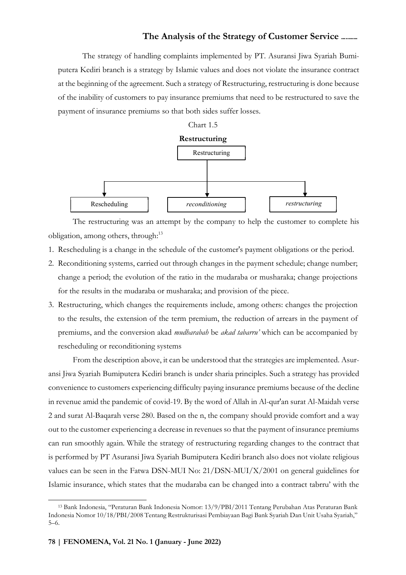The strategy of handling complaints implemented by PT. Asuransi Jiwa Syariah Bumiputera Kediri branch is a strategy by Islamic values and does not violate the insurance contract at the beginning of the agreement. Such a strategy of Restructuring, restructuring is done because of the inability of customers to pay insurance premiums that need to be restructured to save the payment of insurance premiums so that both sides suffer losses.



The restructuring was an attempt by the company to help the customer to complete his obligation, among others, through:<sup>13</sup>

- 1. Rescheduling is a change in the schedule of the customer's payment obligations or the period.
- 2. Reconditioning systems, carried out through changes in the payment schedule; change number; change a period; the evolution of the ratio in the mudaraba or musharaka; change projections for the results in the mudaraba or musharaka; and provision of the piece.
- 3. Restructuring, which changes the requirements include, among others: changes the projection to the results, the extension of the term premium, the reduction of arrears in the payment of premiums, and the conversion akad mudharabah be akad tabarru' which can be accompanied by rescheduling or reconditioning systems

From the description above, it can be understood that the strategies are implemented. Asuransi Jiwa Syariah Bumiputera Kediri branch is under sharia principles. Such a strategy has provided convenience to customers experiencing difficulty paying insurance premiums because of the decline in revenue amid the pandemic of covid-19. By the word of Allah in Al-qur'an surat Al-Maidah verse 2 and surat Al-Baqarah verse 280. Based on the n, the company should provide comfort and a way out to the customer experiencing a decrease in revenues so that the payment of insurance premiums can run smoothly again. While the strategy of restructuring regarding changes to the contract that is performed by PT Asuransi Jiwa Syariah Bumiputera Kediri branch also does not violate religious values can be seen in the Fatwa DSN-MUI No: 21/DSN-MUI/X/2001 on general guidelines for Islamic insurance, which states that the mudaraba can be changed into a contract tabrru' with the

<sup>13</sup> Bank Indonesia, "Peraturan Bank Indonesia Nomor: 13/9/PBI/2011 Tentang Perubahan Atas Peraturan Bank Indonesia Nomor 10/18/PBI/2008 Tentang Restrukturisasi Pembiayaan Bagi Bank Syariah Dan Unit Usaha Syariah," 5–6.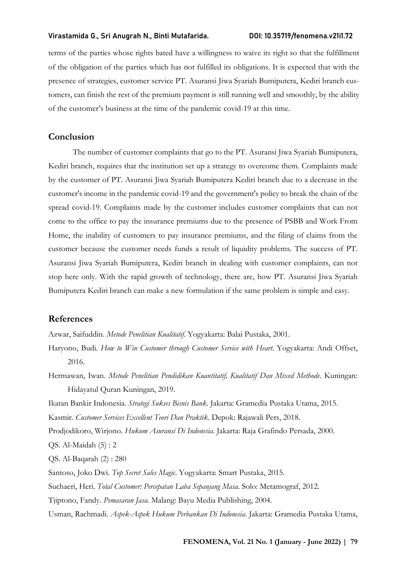terms of the parties whose rights bated have a willingness to waive its right so that the fulfillment of the obligation of the parties which has not fulfilled its obligations. It is expected that with the presence of strategies, customer service PT. Asuransi Jiwa Syariah Bumiputera, Kediri branch customers, can finish the rest of the premium payment is still running well and smoothly, by the ability of the customer's business at the time of the pandemic covid-19 at this time.

#### Conclusion

The number of customer complaints that go to the PT. Asuransi Jiwa Syariah Bumiputera, Kediri branch, requires that the institution set up a strategy to overcome them. Complaints made by the customer of PT. Asuransi Jiwa Syariah Bumiputera Kediri branch due to a decrease in the customer's income in the pandemic covid-19 and the government's policy to break the chain of the spread covid-19. Complaints made by the customer includes customer complaints that can not come to the office to pay the insurance premiums due to the presence of PSBB and Work From Home, the inability of customers to pay insurance premiums, and the filing of claims from the customer because the customer needs funds a result of liquidity problems. The success of PT. Asuransi Jiwa Syariah Bumiputera, Kediri branch in dealing with customer complaints, can not stop here only. With the rapid growth of technology, there are, how PT. Asuransi Jiwa Syariah Bumiputera Kediri branch can make a new formulation if the same problem is simple and easy.

#### References

Azwar, Saifuddin. Metode Penelitian Kualitatif. Yogyakarta: Balai Pustaka, 2001.

Haryono, Budi. How to Win Customer through Customer Service with Heart. Yogyakarta: Andi Offset, 2016.

Hermawan, Iwan. Metode Penelitian Pendidikan Kuantitatif, Kualitatif Dan Mixed Methode. Kuningan: Hidayatul Quran Kuningan, 2019.

Ikatan Bankir Indonesia. Strategi Sukses Bisnis Bank. Jakarta: Gramedia Pustaka Utama, 2015.

Kasmir. Customer Services Excellent Teori Dan Praktik. Depok: Rajawali Pers, 2018.

Prodjodikoro, Wirjono. Hukum Asuransi Di Indonesia. Jakarta: Raja Grafindo Persada, 2000.

QS. Al-Maidah (5) : 2

QS. Al-Baqarah (2) : 280

Santoso, Joko Dwi. Top Secret Sales Magic. Yogyakarta: Smart Pustaka, 2015.

Suchaeri, Heri. Total Customer: Percepatan Laba Sepanjang Masa. Solo: Metamograf, 2012.

Tjiptono, Fandy. Pemasaran Jasa. Malang: Bayu Media Publishing, 2004.

Usman, Rachmadi. Aspek-Aspek Hukum Perbankan Di Indonesia. Jakarta: Gramedia Pustaka Utama,